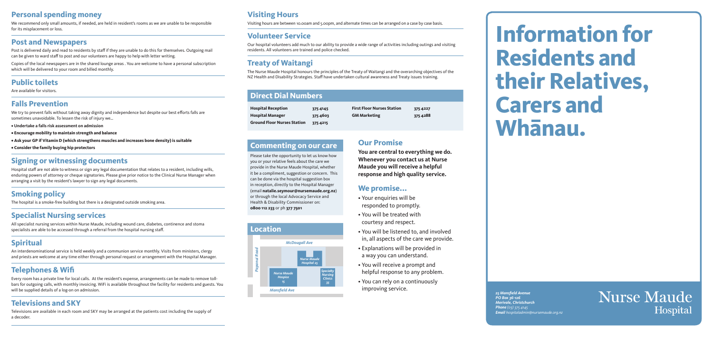#### **Our Promise**

**You are central to everything we do. Whenever you contact us at Nurse Maude you will receive a helpful response and high quality service.**

#### **We promise...**

- Your enquiries will be responded to promptly.
- You will be treated with courtesy and respect.
- You will be listened to, and involved in, all aspects of the care we provide.
- Explanations will be provided in a way you can understand.
- You will receive a prompt and helpful response to any problem.
- You can rely on a continuously improving service.

#### **Commenting on our care**

Please take the opportunity to let us know how you or your relative feels about the care we provide in the Nurse Maude Hospital, whether it be a compliment, suggestion or concern. This can be done via the hospital suggestion box in reception, directly to the Hospital Manager (email **natalie.seymour@nursemaude.org.nz**) or through the local Advocacy Service and Health & Disability Commissioner on: **0800 112 233** or ph **377 7501**

| <b>Hospital Reception</b>          | 375 4145 | <b>First</b> |
|------------------------------------|----------|--------------|
| <b>Hospital Manager</b>            | 3754603  | <b>GM</b>    |
| <b>Ground Floor Nurses Station</b> | 375 4215 |              |

**First Floor Nurses Station 375 4227 GM Marketing 375 4288**

#### **Direct Dial Numbers**

*25 Mansfield Avenue PO Box 36-126 Merivale, Christchurch Phone (03) 375 4145 Email hospitaladmin@nursemaude.org.nz*

## **Nurse Maude** Hospital

# **Information for Residents and their Relatives, Carers and Whanau.**

#### **Visiting Hours**

Visiting hours are between 10.00am and 5.00pm, and alternate times can be arranged on a case by case basis.

#### **Volunteer Service**

Our hospital volunteers add much to our ability to provide a wide range of activities including outings and visiting residents. All volunteers are trained and police checked.

### **Treaty of Waitangi**

The Nurse Maude Hospital honours the principles of the Treaty of Waitangi and the overarching objectives of the NZ Health and Disability Strategies. Staff have undertaken cultural awareness and Treaty issues training.

#### **Personal spending money**

We recommend only small amounts, if needed, are held in resident's rooms as we are unable to be responsible for its misplacement or loss.

#### **Post and Newspapers**

**Nurse Maude** *Hospice 15*

Post is delivered daily and read to residents by staff if they are unable to do this for themselves. Outgoing mail can be given to ward staff to post and our volunteers are happy to help with letter writing.

Copies of the local newspapers are in the shared lounge areas . You are welcome to have a personal subscription which will be delivered to your room and billed monthly.

#### **Public toilets**

Are available for visitors.

#### **Falls Prevention**

We try to prevent falls without taking away dignity and independence but despite our best efforts falls are sometimes unavoidable. To lessen the risk of injury we…

- **Undertake a falls risk assessment on admission**
- **Encourage mobility to maintain strength and balance**
- **Ask your GP if Vitamin D (which strengthens muscles and increases bone density) is suitable**
- **Consider the family buying hip protectors**

#### **Signing or witnessing documents**

Hospital staff are not able to witness or sign any legal documentation that relates to a resident, including wills, enduring powers of attorney or cheque signatories. Please give prior notice to the Clinical Nurse Manager when arranging a visit by the resident's lawyer to sign any legal documents.

#### **Smoking policy**

The hospital is a smoke-free building but there is a designated outside smoking area.

#### **Specialist Nursing services**

All specialist nursing services within Nurse Maude, including wound care, diabetes, continence and stoma specialists are able to be accessed through a referral from the hospital nursing staff.

#### **Spiritual**

An interdenominational service is held weekly and a communion service monthly. Visits from ministers, clergy and priests are welcome at any time either through personal request or arrangement with the Hospital Manager.

#### **Telephones & Wifi**

Every room has a private line for local calls. At the resident's expense, arrangements can be made to remove tollbars for outgoing calls, with monthly invoicing. WiFi is available throughout the facility for residents and guests. You will be supplied details of a log-on on admission.

#### **Televisions and SKY**

Televisions are available in each room and SKY may be arranged at the patients cost including the supply of a decoder.



*Papanui Road*

# *McDougall Ave Specialty Nursing Clinics 35 Nurse Maude Hospital 25*

**Location**